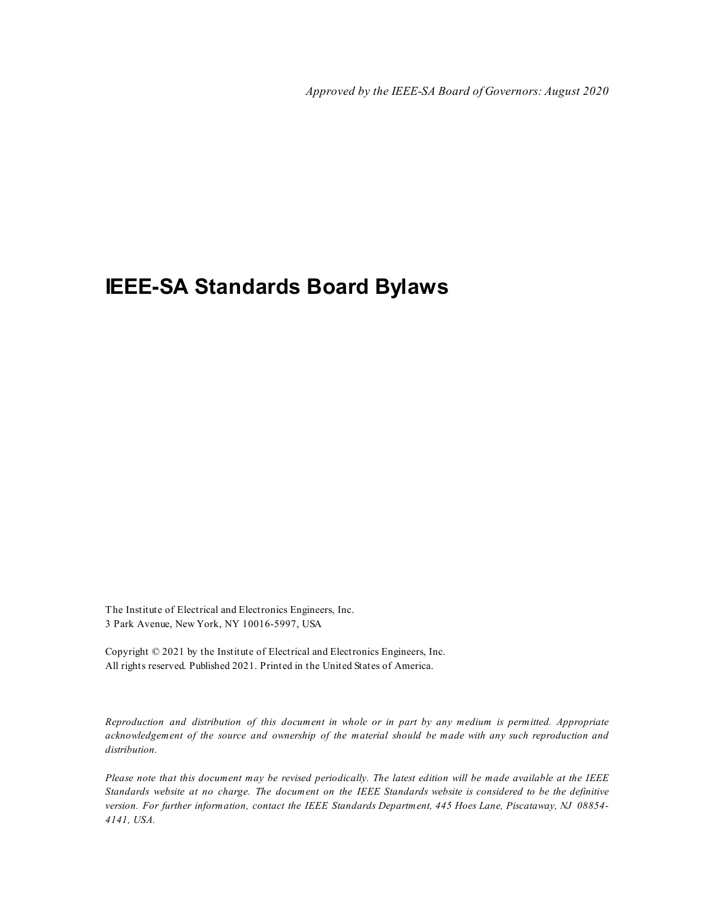# **IEEE-SA Standards Board Bylaws**

The Institute of Electrical and Electronics Engineers, Inc. 3 Park Avenue, New York, NY 10016-5997, USA

Copyright © 2021 by the Institute of Electrical and Electronics Engineers, Inc. All rights reserved. Published 2021. Printed in the United States of America.

*Reproduction and distribution of this document in whole or in part by any medium is permitted. Appropriate acknowledgement of the source and ownership of the material should be made with any such reproduction and distribution.*

*Please note that this document may be revised periodically. The latest edition will be made available at the IEEE Standards website at no charge. The document on the IEEE Standards website is considered to be the definitive version. For further information, contact the IEEE Standards Department, 445 Hoes Lane, Piscataway, NJ 08854- 4141, USA.*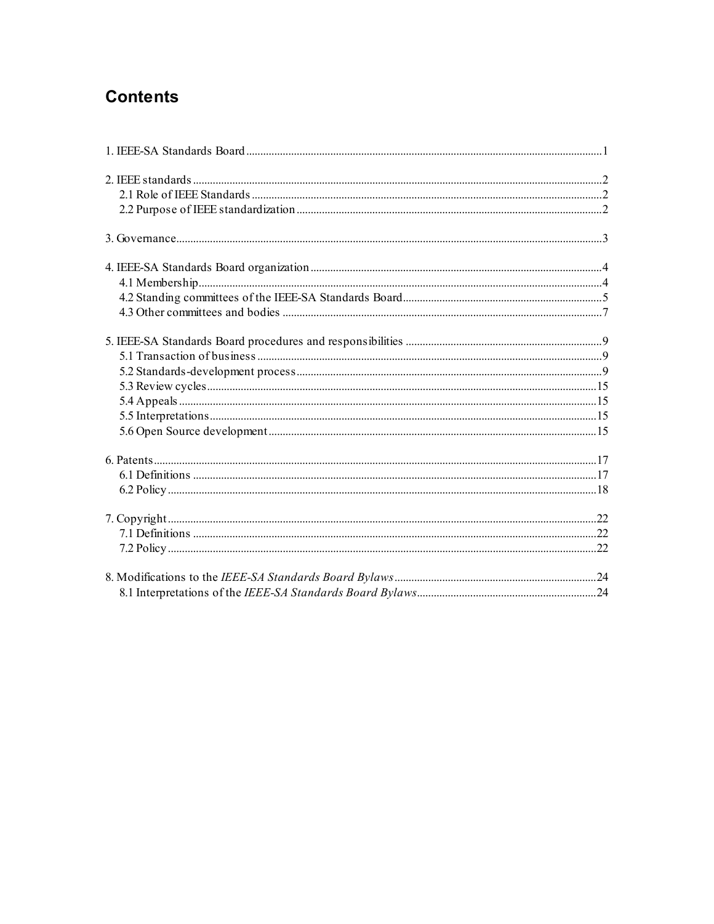# **Contents**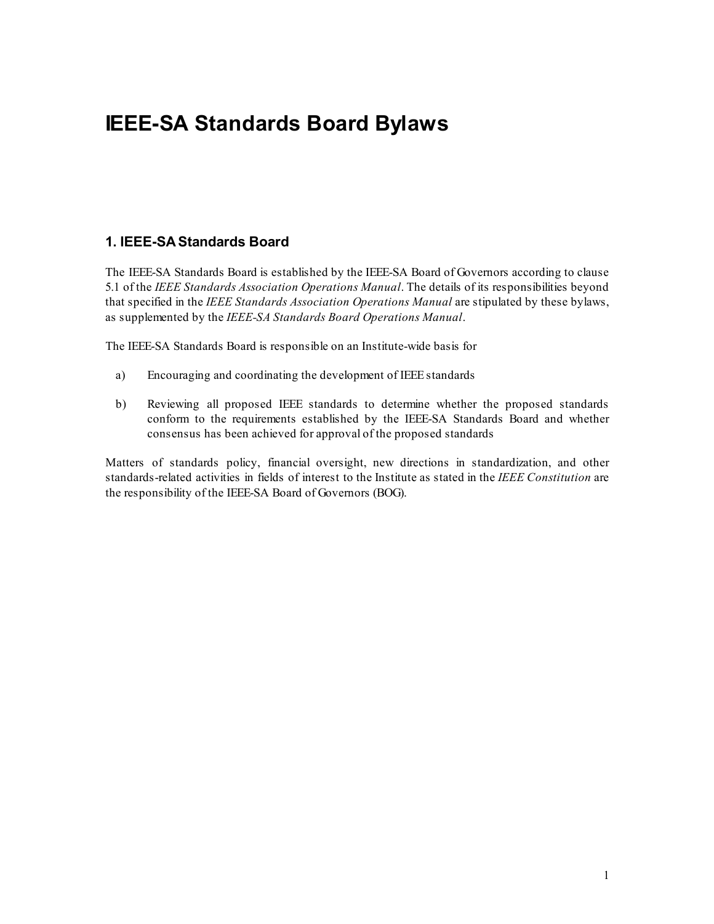# **IEEE-SA Standards Board Bylaws**

# <span id="page-2-0"></span>**1. IEEE-SA Standards Board**

The IEEE-SA Standards Board is established by the IEEE-SA Board of Governors according to clause 5.1 of the *IEEE Standards Association Operations Manual*. The details of its responsibilities beyond that specified in the *IEEE Standards Association Operations Manual* are stipulated by these bylaws, as supplemented by the *IEEE-SA Standards Board Operations Manual*.

The IEEE-SA Standards Board is responsible on an Institute-wide basis for

- a) Encouraging and coordinating the development of IEEE standards
- b) Reviewing all proposed IEEE standards to determine whether the proposed standards conform to the requirements established by the IEEE-SA Standards Board and whether consensus has been achieved for approval of the proposed standards

Matters of standards policy, financial oversight, new directions in standardization, and other standards-related activities in fields of interest to the Institute as stated in the *IEEE Constitution* are the responsibility of the IEEE-SA Board of Governors (BOG).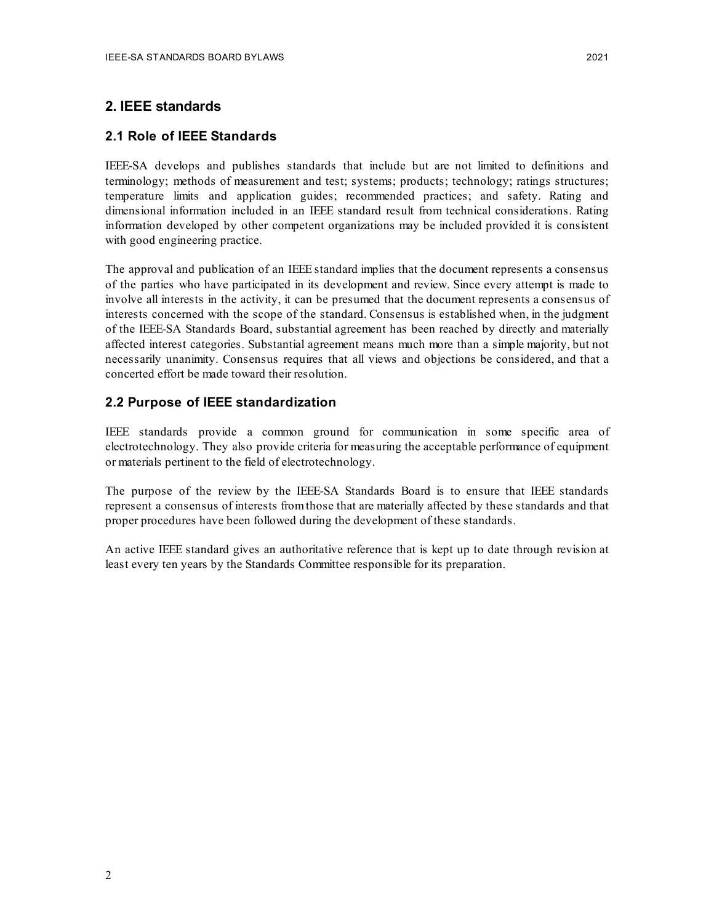## <span id="page-3-1"></span><span id="page-3-0"></span>**2. IEEE standards**

## **2.1 Role of IEEE Standards**

IEEE-SA develops and publishes standards that include but are not limited to definitions and terminology; methods of measurement and test; systems; products; technology; ratings structures; temperature limits and application guides; recommended practices; and safety. Rating and dimensional information included in an IEEE standard result from technical considerations. Rating information developed by other competent organizations may be included provided it is consistent with good engineering practice.

The approval and publication of an IEEE standard implies that the document represents a consensus of the parties who have participated in its development and review. Since every attempt is made to involve all interests in the activity, it can be presumed that the document represents a consensus of interests concerned with the scope of the standard. Consensus is established when, in the judgment of the IEEE-SA Standards Board, substantial agreement has been reached by directly and materially affected interest categories. Substantial agreement means much more than a simple majority, but not necessarily unanimity. Consensus requires that all views and objections be considered, and that a concerted effort be made toward their resolution.

## <span id="page-3-2"></span>**2.2 Purpose of IEEE standardization**

IEEE standards provide a common ground for communication in some specific area of electrotechnology. They also provide criteria for measuring the acceptable performance of equipment or materials pertinent to the field of electrotechnology.

The purpose of the review by the IEEE-SA Standards Board is to ensure that IEEE standards represent a consensus of interests from those that are materially affected by these standards and that proper procedures have been followed during the development of these standards.

An active IEEE standard gives an authoritative reference that is kept up to date through revision at least every ten years by the Standards Committee responsible for its preparation.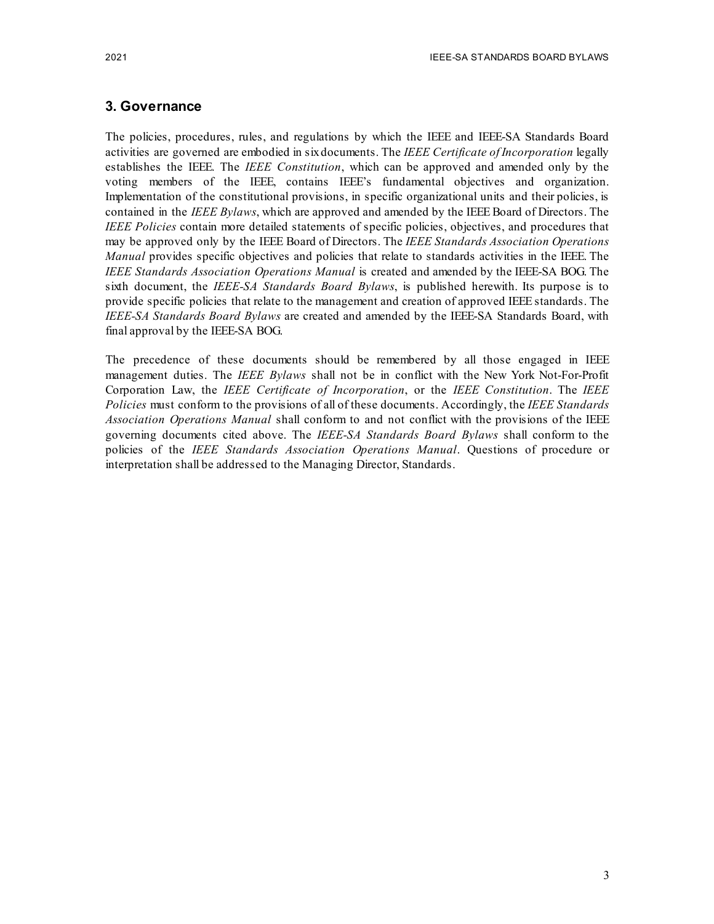## <span id="page-4-0"></span>**3. Governance**

The policies, procedures, rules, and regulations by which the IEEE and IEEE-SA Standards Board activities are governed are embodied in six documents. The *IEEE Certificate of Incorporation* legally establishes the IEEE. The *IEEE Constitution*, which can be approved and amended only by the voting members of the IEEE, contains IEEE's fundamental objectives and organization. Implementation of the constitutional provisions, in specific organizational units and their policies, is contained in the *IEEE Bylaws*, which are approved and amended by the IEEE Board of Directors. The *IEEE Policies* contain more detailed statements of specific policies, objectives, and procedures that may be approved only by the IEEE Board of Directors. The *IEEE Standards Association Operations Manual* provides specific objectives and policies that relate to standards activities in the IEEE. The *IEEE Standards Association Operations Manual* is created and amended by the IEEE-SA BOG. The sixth document, the *IEEE-SA Standards Board Bylaws*, is published herewith. Its purpose is to provide specific policies that relate to the management and creation of approved IEEE standards. The *IEEE-SA Standards Board Bylaws* are created and amended by the IEEE-SA Standards Board, with final approval by the IEEE-SA BOG.

The precedence of these documents should be remembered by all those engaged in IEEE management duties. The *IEEE Bylaws* shall not be in conflict with the New York Not-For-Profit Corporation Law, the *IEEE Certificate of Incorporation*, or the *IEEE Constitution*. The *IEEE Policies* must conform to the provisions of all of these documents. Accordingly, the *IEEE Standards Association Operations Manual* shall conform to and not conflict with the provisions of the IEEE governing documents cited above. The *IEEE-SA Standards Board Bylaws* shall conform to the policies of the *IEEE Standards Association Operations Manual*. Questions of procedure or interpretation shall be addressed to the Managing Director, Standards.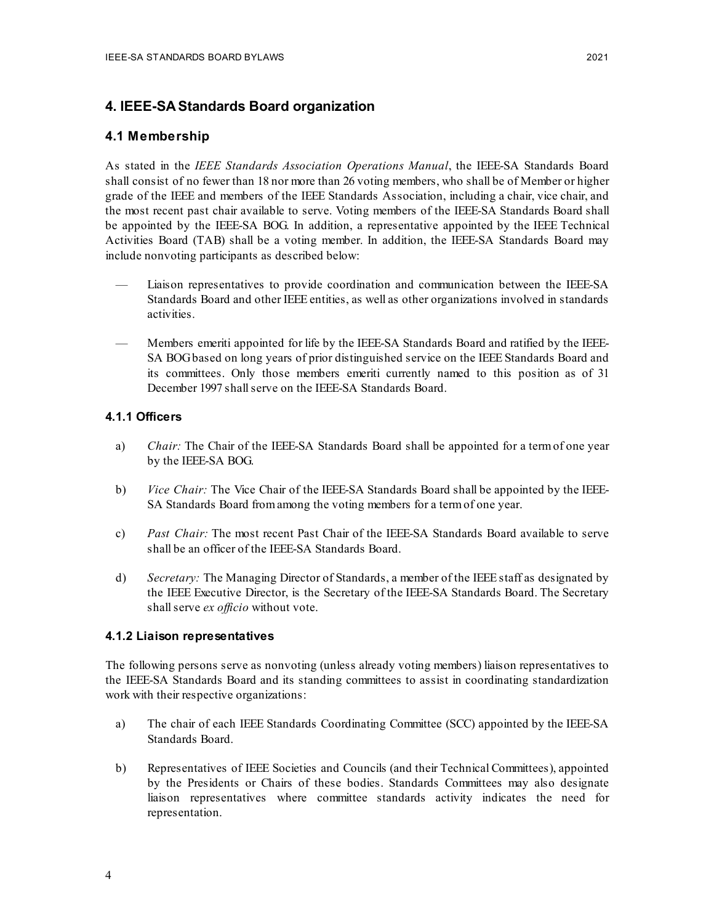## <span id="page-5-1"></span><span id="page-5-0"></span>**4. IEEE-SA Standards Board organization**

## **4.1 Membership**

As stated in the *IEEE Standards Association Operations Manual*, the IEEE-SA Standards Board shall consist of no fewer than 18 nor more than 26 voting members, who shall be of Member or higher grade of the IEEE and members of the IEEE Standards Association, including a chair, vice chair, and the most recent past chair available to serve. Voting members of the IEEE-SA Standards Board shall be appointed by the IEEE-SA BOG. In addition, a representative appointed by the IEEE Technical Activities Board (TAB) shall be a voting member. In addition, the IEEE-SA Standards Board may include nonvoting participants as described below:

- Liaison representatives to provide coordination and communication between the IEEE-SA Standards Board and other IEEE entities, as well as other organizations involved in standards activities.
- Members emeriti appointed for life by the IEEE-SA Standards Board and ratified by the IEEE-SA BOG based on long years of prior distinguished service on the IEEE Standards Board and its committees. Only those members emeriti currently named to this position as of 31 December 1997 shall serve on the IEEE-SA Standards Board.

## **4.1.1 Officers**

- a) *Chair:* The Chair of the IEEE-SA Standards Board shall be appointed for a term of one year by the IEEE-SA BOG.
- b) *Vice Chair:* The Vice Chair of the IEEE-SA Standards Board shall be appointed by the IEEE-SA Standards Board from among the voting members for a term of one year.
- c) *Past Chair:* The most recent Past Chair of the IEEE-SA Standards Board available to serve shall be an officer of the IEEE-SA Standards Board.
- d) *Secretary:* The Managing Director of Standards, a member of the IEEE staff as designated by the IEEE Executive Director, is the Secretary of the IEEE-SA Standards Board. The Secretary shall serve *ex officio* without vote.

#### **4.1.2 Liaison representatives**

The following persons serve as nonvoting (unless already voting members) liaison representatives to the IEEE-SA Standards Board and its standing committees to assist in coordinating standardization work with their respective organizations:

- a) The chair of each IEEE Standards Coordinating Committee (SCC) appointed by the IEEE-SA Standards Board.
- b) Representatives of IEEE Societies and Councils (and their Technical Committees), appointed by the Presidents or Chairs of these bodies. Standards Committees may also designate liaison representatives where committee standards activity indicates the need for representation.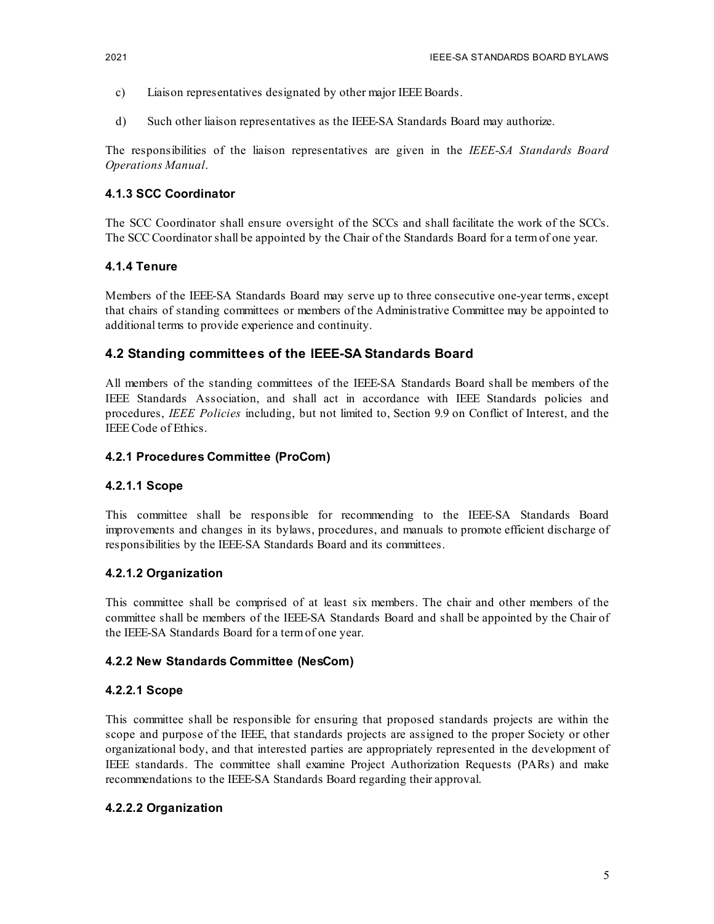- c) Liaison representatives designated by other major IEEE Boards.
- d) Such other liaison representatives as the IEEE-SA Standards Board may authorize.

The responsibilities of the liaison representatives are given in the *IEEE-SA Standards Board Operations Manual*.

#### **4.1.3 SCC Coordinator**

The SCC Coordinator shall ensure oversight of the SCCs and shall facilitate the work of the SCCs. The SCC Coordinator shall be appointed by the Chair of the Standards Board for a term of one year.

## **4.1.4 Tenure**

Members of the IEEE-SA Standards Board may serve up to three consecutive one-year terms, except that chairs of standing committees or members of the Administrative Committee may be appointed to additional terms to provide experience and continuity.

## <span id="page-6-0"></span>**4.2 Standing committees of the IEEE-SA Standards Board**

All members of the standing committees of the IEEE-SA Standards Board shall be members of the IEEE Standards Association, and shall act in accordance with IEEE Standards policies and procedures, *IEEE Policies* including, but not limited to, Section 9.9 on Conflict of Interest, and the IEEE Code of Ethics.

## **4.2.1 Procedures Committee (ProCom)**

#### **4.2.1.1 Scope**

This committee shall be responsible for recommending to the IEEE-SA Standards Board improvements and changes in its bylaws, procedures, and manuals to promote efficient discharge of responsibilities by the IEEE-SA Standards Board and its committees.

#### **4.2.1.2 Organization**

This committee shall be comprised of at least six members. The chair and other members of the committee shall be members of the IEEE-SA Standards Board and shall be appointed by the Chair of the IEEE-SA Standards Board for a term of one year.

#### **4.2.2 New Standards Committee (NesCom)**

#### **4.2.2.1 Scope**

This committee shall be responsible for ensuring that proposed standards projects are within the scope and purpose of the IEEE, that standards projects are assigned to the proper Society or other organizational body, and that interested parties are appropriately represented in the development of IEEE standards. The committee shall examine Project Authorization Requests (PARs) and make recommendations to the IEEE-SA Standards Board regarding their approval.

## **4.2.2.2 Organization**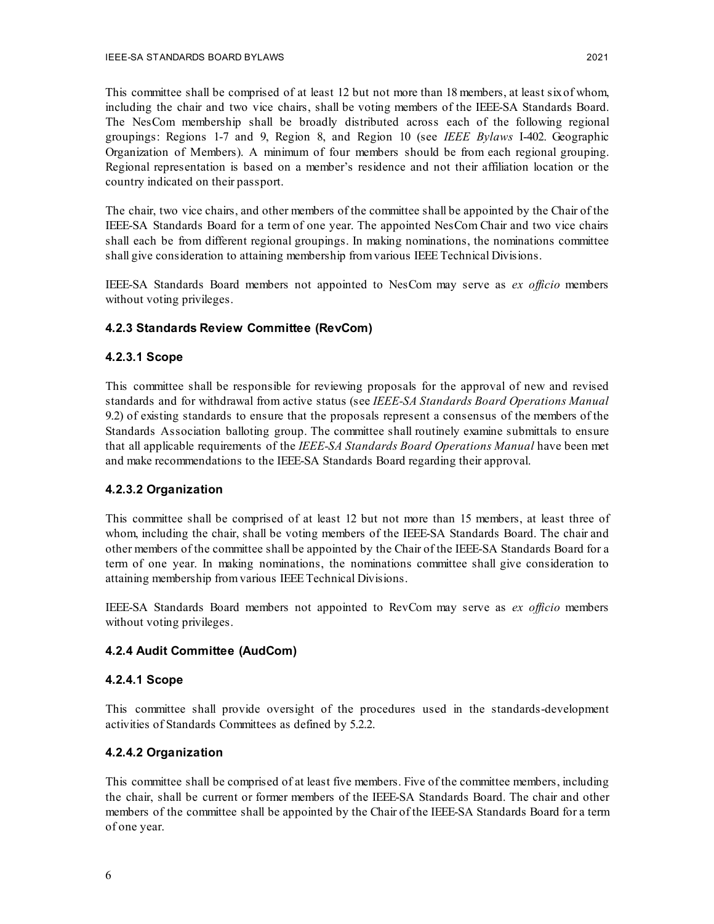This committee shall be comprised of at least 12 but not more than 18 members, at least sixof whom, including the chair and two vice chairs, shall be voting members of the IEEE-SA Standards Board. The NesCom membership shall be broadly distributed across each of the following regional groupings: Regions 1-7 and 9, Region 8, and Region 10 (see *IEEE Bylaws* I-402. Geographic Organization of Members). A minimum of four members should be from each regional grouping. Regional representation is based on a member's residence and not their affiliation location or the country indicated on their passport.

The chair, two vice chairs, and other members of the committee shall be appointed by the Chair of the IEEE-SA Standards Board for a term of one year. The appointed NesCom Chair and two vice chairs shall each be from different regional groupings. In making nominations, the nominations committee shall give consideration to attaining membership from various IEEE Technical Divisions.

IEEE-SA Standards Board members not appointed to NesCom may serve as *ex officio* members without voting privileges.

## **4.2.3 Standards Review Committee (RevCom)**

## **4.2.3.1 Scope**

This committee shall be responsible for reviewing proposals for the approval of new and revised standards and for withdrawal from active status (see *IEEE-SA Standards Board Operations Manual* 9.2) of existing standards to ensure that the proposals represent a consensus of the members of the Standards Association balloting group. The committee shall routinely examine submittals to ensure that all applicable requirements of the *IEEE-SA Standards Board Operations Manual* have been met and make recommendations to the IEEE-SA Standards Board regarding their approval.

## **4.2.3.2 Organization**

This committee shall be comprised of at least 12 but not more than 15 members, at least three of whom, including the chair, shall be voting members of the IEEE-SA Standards Board. The chair and other members of the committee shall be appointed by the Chair of the IEEE-SA Standards Board for a term of one year. In making nominations, the nominations committee shall give consideration to attaining membership from various IEEE Technical Divisions.

IEEE-SA Standards Board members not appointed to RevCom may serve as *ex officio* members without voting privileges.

## **4.2.4 Audit Committee (AudCom)**

## **4.2.4.1 Scope**

This committee shall provide oversight of the procedures used in the standards-development activities of Standards Committees as defined by 5.2.2.

## **4.2.4.2 Organization**

This committee shall be comprised of at least five members. Five of the committee members, including the chair, shall be current or former members of the IEEE-SA Standards Board. The chair and other members of the committee shall be appointed by the Chair of the IEEE-SA Standards Board for a term of one year.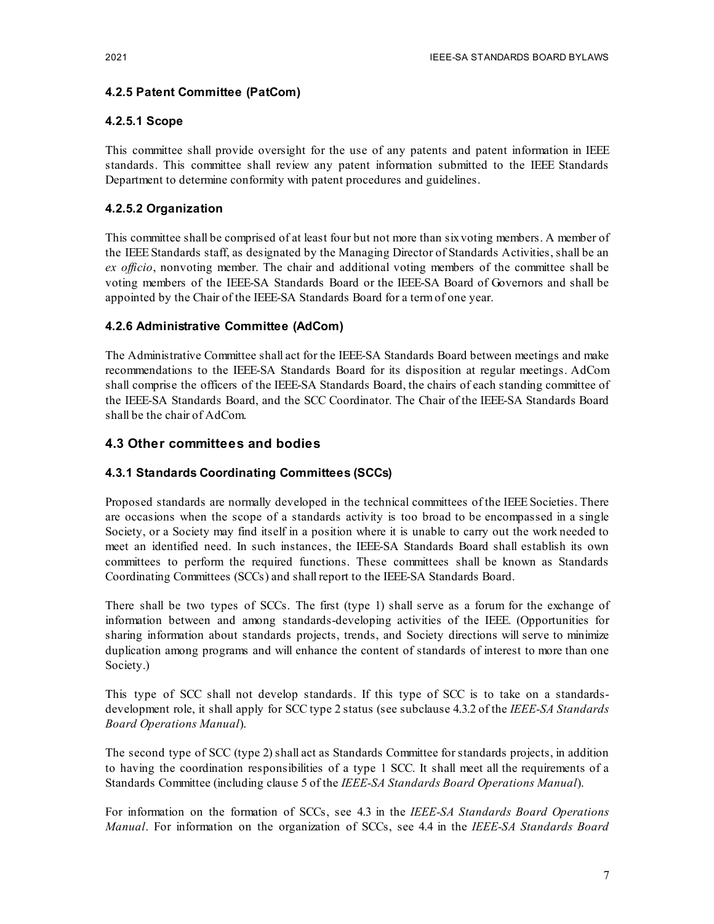## **4.2.5 Patent Committee (PatCom)**

#### **4.2.5.1 Scope**

This committee shall provide oversight for the use of any patents and patent information in IEEE standards. This committee shall review any patent information submitted to the IEEE Standards Department to determine conformity with patent procedures and guidelines.

## **4.2.5.2 Organization**

This committee shall be comprised of at least four but not more than sixvoting members. A member of the IEEE Standards staff, as designated by the Managing Director of Standards Activities, shall be an *ex officio*, nonvoting member. The chair and additional voting members of the committee shall be voting members of the IEEE-SA Standards Board or the IEEE-SA Board of Governors and shall be appointed by the Chair of the IEEE-SA Standards Board for a term of one year.

#### **4.2.6 Administrative Committee (AdCom)**

The Administrative Committee shall act for the IEEE-SA Standards Board between meetings and make recommendations to the IEEE-SA Standards Board for its disposition at regular meetings. AdCom shall comprise the officers of the IEEE-SA Standards Board, the chairs of each standing committee of the IEEE-SA Standards Board, and the SCC Coordinator. The Chair of the IEEE-SA Standards Board shall be the chair of AdCom.

## <span id="page-8-0"></span>**4.3 Other committees and bodies**

#### **4.3.1 Standards Coordinating Committees (SCCs)**

Proposed standards are normally developed in the technical committees of the IEEE Societies. There are occasions when the scope of a standards activity is too broad to be encompassed in a single Society, or a Society may find itself in a position where it is unable to carry out the work needed to meet an identified need. In such instances, the IEEE-SA Standards Board shall establish its own committees to perform the required functions. These committees shall be known as Standards Coordinating Committees (SCCs) and shall report to the IEEE-SA Standards Board.

There shall be two types of SCCs. The first (type 1) shall serve as a forum for the exchange of information between and among standards-developing activities of the IEEE. (Opportunities for sharing information about standards projects, trends, and Society directions will serve to minimize duplication among programs and will enhance the content of standards of interest to more than one Society.)

This type of SCC shall not develop standards. If this type of SCC is to take on a standardsdevelopment role, it shall apply for SCC type 2 status (see subclause 4.3.2 of the *IEEE-SA Standards Board Operations Manual*).

The second type of SCC (type 2) shall act as Standards Committee for standards projects, in addition to having the coordination responsibilities of a type 1 SCC. It shall meet all the requirements of a Standards Committee (including clause 5 of the *IEEE-SA Standards Board Operations Manual*).

For information on the formation of SCCs, see 4.3 in the *IEEE-SA Standards Board Operations Manual*. For information on the organization of SCCs, see 4.4 in the *IEEE-SA Standards Board*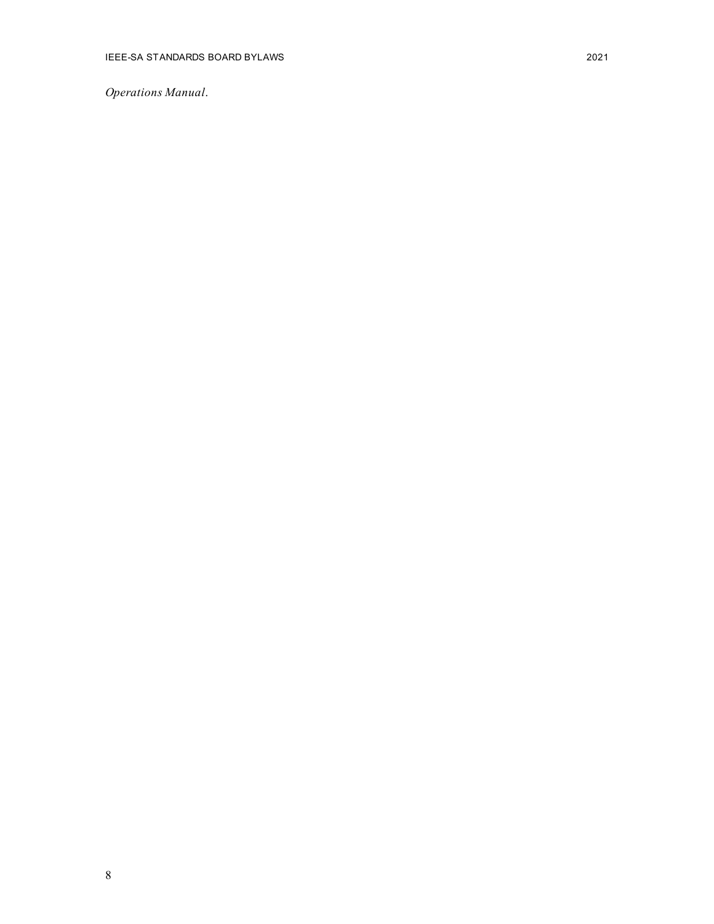*Operations Manual*.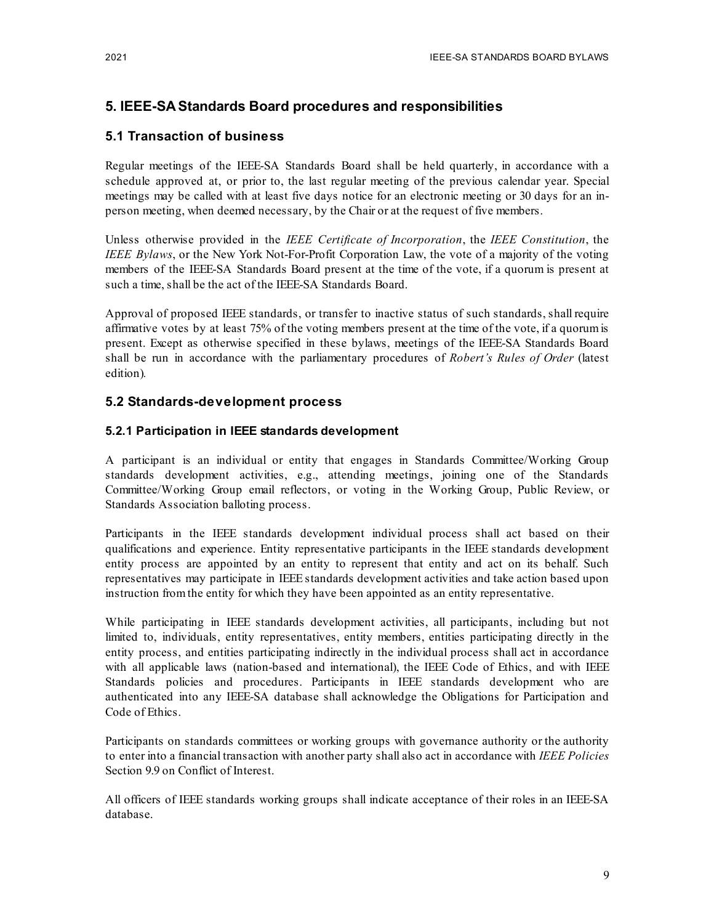# <span id="page-10-1"></span><span id="page-10-0"></span>**5. IEEE-SA Standards Board procedures and responsibilities**

## **5.1 Transaction of business**

Regular meetings of the IEEE-SA Standards Board shall be held quarterly, in accordance with a schedule approved at, or prior to, the last regular meeting of the previous calendar year. Special meetings may be called with at least five days notice for an electronic meeting or 30 days for an inperson meeting, when deemed necessary, by the Chair or at the request of five members.

Unless otherwise provided in the *IEEE Certificate of Incorporation*, the *IEEE Constitution*, the *IEEE Bylaws*, or the New York Not-For-Profit Corporation Law, the vote of a majority of the voting members of the IEEE-SA Standards Board present at the time of the vote, if a quorum is present at such a time, shall be the act of the IEEE-SA Standards Board.

Approval of proposed IEEE standards, or transfer to inactive status of such standards, shall require affirmative votes by at least 75% of the voting members present at the time of the vote, if a quorum is present. Except as otherwise specified in these bylaws, meetings of the IEEE-SA Standards Board shall be run in accordance with the parliamentary procedures of *Robert's Rules of Order* (latest edition)*.*

## <span id="page-10-2"></span>**5.2 Standards-development process**

## **5.2.1 Participation in IEEE standards development**

A participant is an individual or entity that engages in Standards Committee/Working Group standards development activities, e.g., attending meetings, joining one of the Standards Committee/Working Group email reflectors, or voting in the Working Group, Public Review, or Standards Association balloting process.

Participants in the IEEE standards development individual process shall act based on their qualifications and experience. Entity representative participants in the IEEE standards development entity process are appointed by an entity to represent that entity and act on its behalf. Such representatives may participate in IEEE standards development activities and take action based upon instruction from the entity for which they have been appointed as an entity representative.

While participating in IEEE standards development activities, all participants, including but not limited to, individuals, entity representatives, entity members, entities participating directly in the entity process, and entities participating indirectly in the individual process shall act in accordance with all applicable laws (nation-based and international), the IEEE Code of Ethics, and with IEEE Standards policies and procedures. Participants in IEEE standards development who are authenticated into any IEEE-SA database shall acknowledge the Obligations for Participation and Code of Ethics.

Participants on standards committees or working groups with governance authority or the authority to enter into a financial transaction with another party shall also act in accordance with *IEEE Policies* Section 9.9 on Conflict of Interest.

All officers of IEEE standards working groups shall indicate acceptance of their roles in an IEEE-SA database.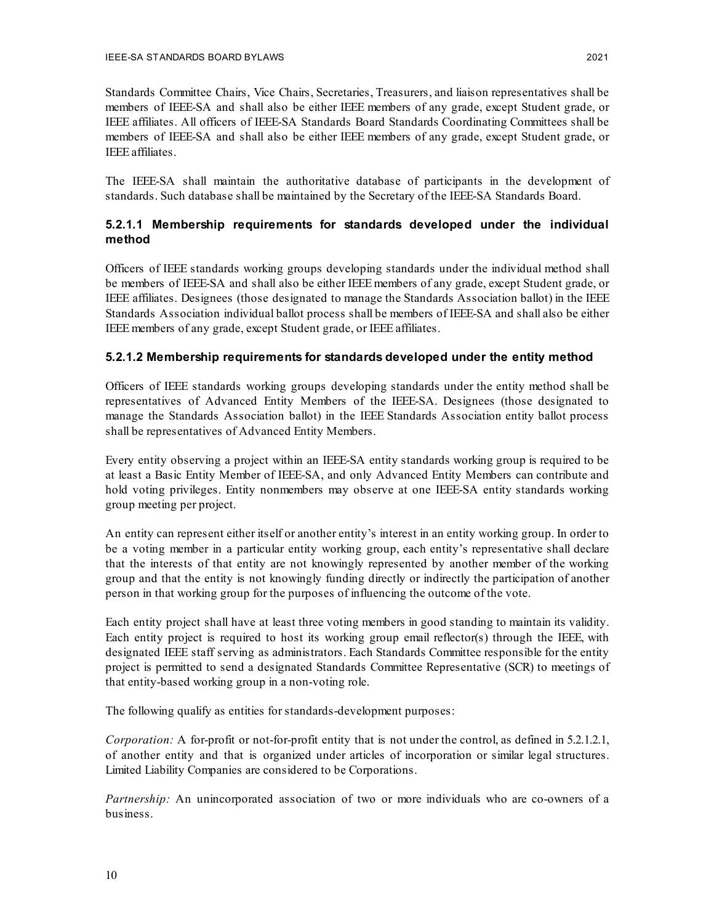Standards Committee Chairs, Vice Chairs, Secretaries, Treasurers, and liaison representatives shall be members of IEEE-SA and shall also be either IEEE members of any grade, except Student grade, or IEEE affiliates. All officers of IEEE-SA Standards Board Standards Coordinating Committees shall be members of IEEE-SA and shall also be either IEEE members of any grade, except Student grade, or IEEE affiliates.

The IEEE-SA shall maintain the authoritative database of participants in the development of standards. Such database shall be maintained by the Secretary of the IEEE-SA Standards Board.

## **5.2.1.1 Membership requirements for standards developed under the individual method**

Officers of IEEE standards working groups developing standards under the individual method shall be members of IEEE-SA and shall also be either IEEE members of any grade, except Student grade, or IEEE affiliates. Designees (those designated to manage the Standards Association ballot) in the IEEE Standards Association individual ballot process shall be members of IEEE-SA and shall also be either IEEE members of any grade, except Student grade, or IEEE affiliates.

## **5.2.1.2 Membership requirements for standards developed under the entity method**

Officers of IEEE standards working groups developing standards under the entity method shall be representatives of Advanced Entity Members of the IEEE-SA. Designees (those designated to manage the Standards Association ballot) in the IEEE Standards Association entity ballot process shall be representatives of Advanced Entity Members.

Every entity observing a project within an IEEE-SA entity standards working group is required to be at least a Basic Entity Member of IEEE-SA, and only Advanced Entity Members can contribute and hold voting privileges. Entity nonmembers may observe at one IEEE-SA entity standards working group meeting per project.

An entity can represent either itself or another entity's interest in an entity working group. In order to be a voting member in a particular entity working group, each entity's representative shall declare that the interests of that entity are not knowingly represented by another member of the working group and that the entity is not knowingly funding directly or indirectly the participation of another person in that working group for the purposes of influencing the outcome of the vote.

Each entity project shall have at least three voting members in good standing to maintain its validity. Each entity project is required to host its working group email reflector(s) through the IEEE, with designated IEEE staff serving as administrators. Each Standards Committee responsible for the entity project is permitted to send a designated Standards Committee Representative (SCR) to meetings of that entity-based working group in a non-voting role.

The following qualify as entities for standards-development purposes:

*Corporation:* A for-profit or not-for-profit entity that is not under the control, as defined in 5.2.1.2.1, of another entity and that is organized under articles of incorporation or similar legal structures. Limited Liability Companies are considered to be Corporations.

*Partnership:* An unincorporated association of two or more individuals who are co-owners of a business.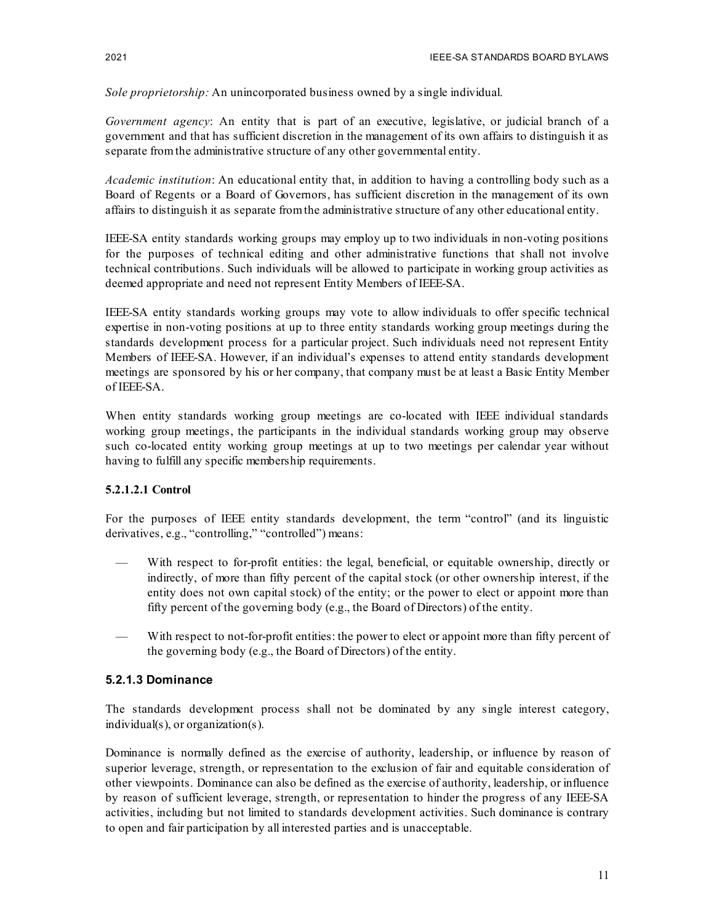*Sole proprietorship:* An unincorporated business owned by a single individual.

*Government agency*: An entity that is part of an executive, legislative, or judicial branch of a government and that has sufficient discretion in the management of its own affairs to distinguish it as separate from the administrative structure of any other governmental entity.

*Academic institution*: An educational entity that, in addition to having a controlling body such as a Board of Regents or a Board of Governors, has sufficient discretion in the management of its own affairs to distinguish it as separate from the administrative structure of any other educational entity.

IEEE-SA entity standards working groups may employ up to two individuals in non-voting positions for the purposes of technical editing and other administrative functions that shall not involve technical contributions. Such individuals will be allowed to participate in working group activities as deemed appropriate and need not represent Entity Members of IEEE-SA.

IEEE-SA entity standards working groups may vote to allow individuals to offer specific technical expertise in non-voting positions at up to three entity standards working group meetings during the standards development process for a particular project. Such individuals need not represent Entity Members of IEEE-SA. However, if an individual's expenses to attend entity standards development meetings are sponsored by his or her company, that company must be at least a Basic Entity Member of IEEE-SA.

When entity standards working group meetings are co-located with IEEE individual standards working group meetings, the participants in the individual standards working group may observe such co-located entity working group meetings at up to two meetings per calendar year without having to fulfill any specific membership requirements.

#### **5.2.1.2.1 Control**

For the purposes of IEEE entity standards development, the term "control" (and its linguistic derivatives, e.g., "controlling," "controlled") means:

- With respect to for-profit entities: the legal, beneficial, or equitable ownership, directly or indirectly, of more than fifty percent of the capital stock (or other ownership interest, if the entity does not own capital stock) of the entity; or the power to elect or appoint more than fifty percent of the governing body (e.g., the Board of Directors) of the entity.
- With respect to not-for-profit entities: the power to elect or appoint more than fifty percent of the governing body (e.g., the Board of Directors) of the entity.

#### **5.2.1.3 Dominance**

The standards development process shall not be dominated by any single interest category, individual(s), or organization(s).

Dominance is normally defined as the exercise of authority, leadership, or influence by reason of superior leverage, strength, or representation to the exclusion of fair and equitable consideration of other viewpoints. Dominance can also be defined as the exercise of authority, leadership, or influence by reason of sufficient leverage, strength, or representation to hinder the progress of any IEEE-SA activities, including but not limited to standards development activities. Such dominance is contrary to open and fair participation by all interested parties and is unacceptable.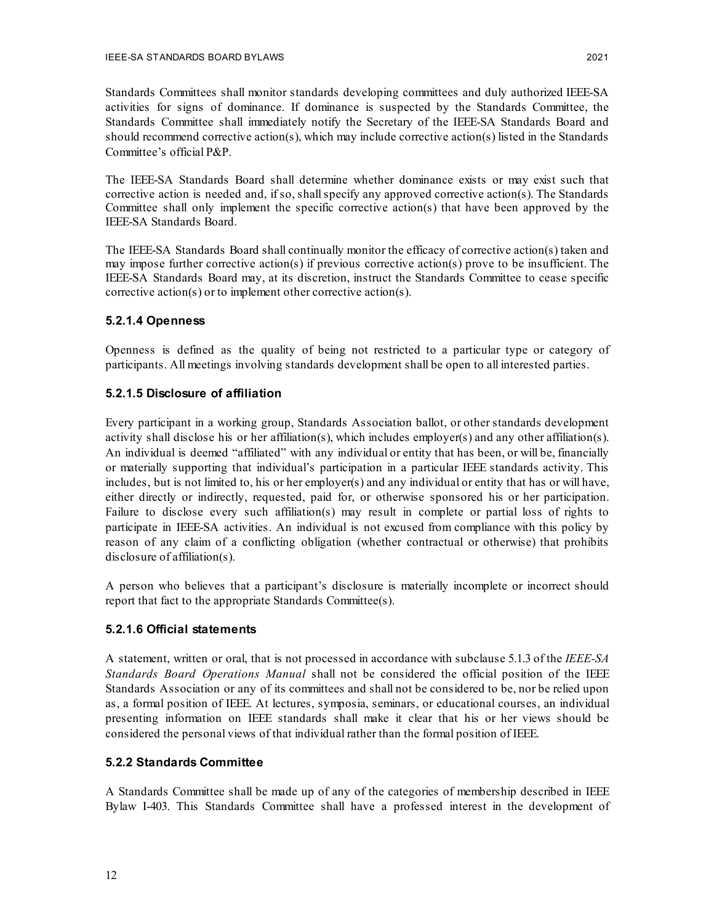Standards Committees shall monitor standards developing committees and duly authorized IEEE-SA activities for signs of dominance. If dominance is suspected by the Standards Committee, the Standards Committee shall immediately notify the Secretary of the IEEE-SA Standards Board and should recommend corrective action(s), which may include corrective action(s) listed in the Standards Committee's official P&P.

The IEEE-SA Standards Board shall determine whether dominance exists or may exist such that corrective action is needed and, if so, shall specify any approved corrective action(s). The Standards Committee shall only implement the specific corrective action(s) that have been approved by the IEEE-SA Standards Board.

The IEEE-SA Standards Board shall continually monitor the efficacy of corrective action(s) taken and may impose further corrective action(s) if previous corrective action(s) prove to be insufficient. The IEEE-SA Standards Board may, at its discretion, instruct the Standards Committee to cease specific corrective action(s) or to implement other corrective action(s).

## **5.2.1.4 Openness**

Openness is defined as the quality of being not restricted to a particular type or category of participants. All meetings involving standards development shall be open to all interested parties.

## **5.2.1.5 Disclosure of affiliation**

Every participant in a working group, Standards Association ballot, or other standards development activity shall disclose his or her affiliation(s), which includes employer(s) and any other affiliation(s). An individual is deemed "affiliated" with any individual or entity that has been, or will be, financially or materially supporting that individual's participation in a particular IEEE standards activity. This includes, but is not limited to, his or her employer(s) and any individual or entity that has or will have, either directly or indirectly, requested, paid for, or otherwise sponsored his or her participation. Failure to disclose every such affiliation(s) may result in complete or partial loss of rights to participate in IEEE-SA activities. An individual is not excused from compliance with this policy by reason of any claim of a conflicting obligation (whether contractual or otherwise) that prohibits disclosure of affiliation(s).

A person who believes that a participant's disclosure is materially incomplete or incorrect should report that fact to the appropriate Standards Committee(s).

## **5.2.1.6 Official statements**

A statement, written or oral, that is not processed in accordance with subclause 5.1.3 of the *IEEE-SA Standards Board Operations Manual* shall not be considered the official position of the IEEE Standards Association or any of its committees and shall not be considered to be, nor be relied upon as, a formal position of IEEE. At lectures, symposia, seminars, or educational courses, an individual presenting information on IEEE standards shall make it clear that his or her views should be considered the personal views of that individual rather than the formal position of IEEE.

#### **5.2.2 Standards Committee**

A Standards Committee shall be made up of any of the categories of membership described in IEEE Bylaw I-403. This Standards Committee shall have a professed interest in the development of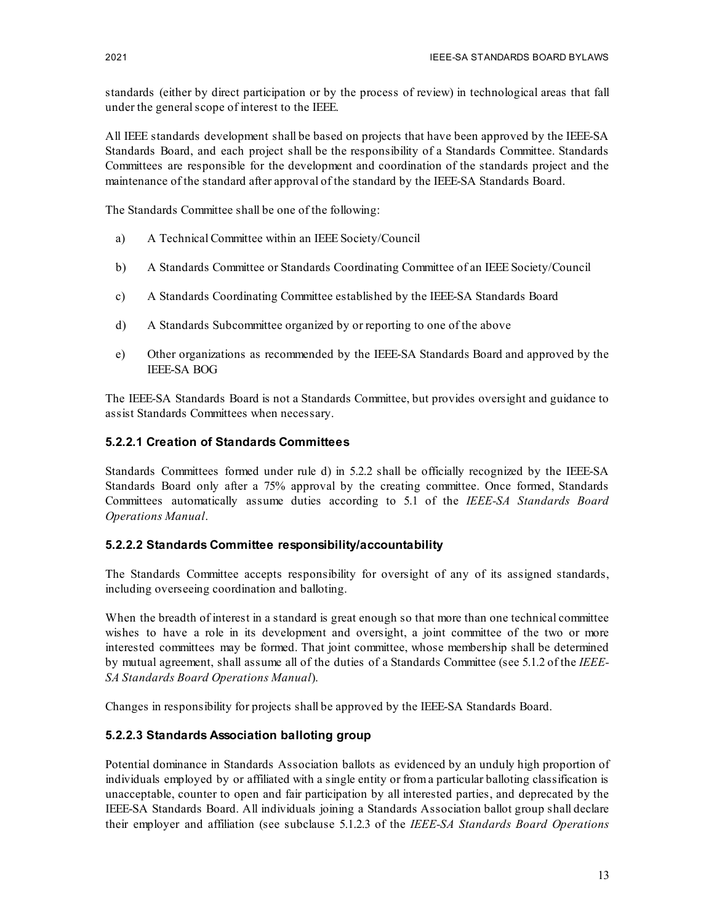standards (either by direct participation or by the process of review) in technological areas that fall under the general scope of interest to the IEEE.

All IEEE standards development shall be based on projects that have been approved by the IEEE-SA Standards Board, and each project shall be the responsibility of a Standards Committee. Standards Committees are responsible for the development and coordination of the standards project and the maintenance of the standard after approval of the standard by the IEEE-SA Standards Board.

The Standards Committee shall be one of the following:

- a) A Technical Committee within an IEEE Society/Council
- b) A Standards Committee or Standards Coordinating Committee of an IEEE Society/Council
- c) A Standards Coordinating Committee established by the IEEE-SA Standards Board
- d) A Standards Subcommittee organized by or reporting to one of the above
- e) Other organizations as recommended by the IEEE-SA Standards Board and approved by the IEEE-SA BOG

The IEEE-SA Standards Board is not a Standards Committee, but provides oversight and guidance to assist Standards Committees when necessary.

## **5.2.2.1 Creation of Standards Committees**

Standards Committees formed under rule d) in 5.2.2 shall be officially recognized by the IEEE-SA Standards Board only after a 75% approval by the creating committee. Once formed, Standards Committees automatically assume duties according to 5.1 of the *IEEE-SA Standards Board Operations Manual*.

#### **5.2.2.2 Standards Committee responsibility/accountability**

The Standards Committee accepts responsibility for oversight of any of its assigned standards, including overseeing coordination and balloting.

When the breadth of interest in a standard is great enough so that more than one technical committee wishes to have a role in its development and oversight, a joint committee of the two or more interested committees may be formed. That joint committee, whose membership shall be determined by mutual agreement, shall assume all of the duties of a Standards Committee (see 5.1.2 of the *IEEE-SA Standards Board Operations Manual*).

Changes in responsibility for projects shall be approved by the IEEE-SA Standards Board.

#### **5.2.2.3 Standards Association balloting group**

Potential dominance in Standards Association ballots as evidenced by an unduly high proportion of individuals employed by or affiliated with a single entity or from a particular balloting classification is unacceptable, counter to open and fair participation by all interested parties, and deprecated by the IEEE-SA Standards Board. All individuals joining a Standards Association ballot group shall declare their employer and affiliation (see subclause 5.1.2.3 of the *IEEE-SA Standards Board Operations*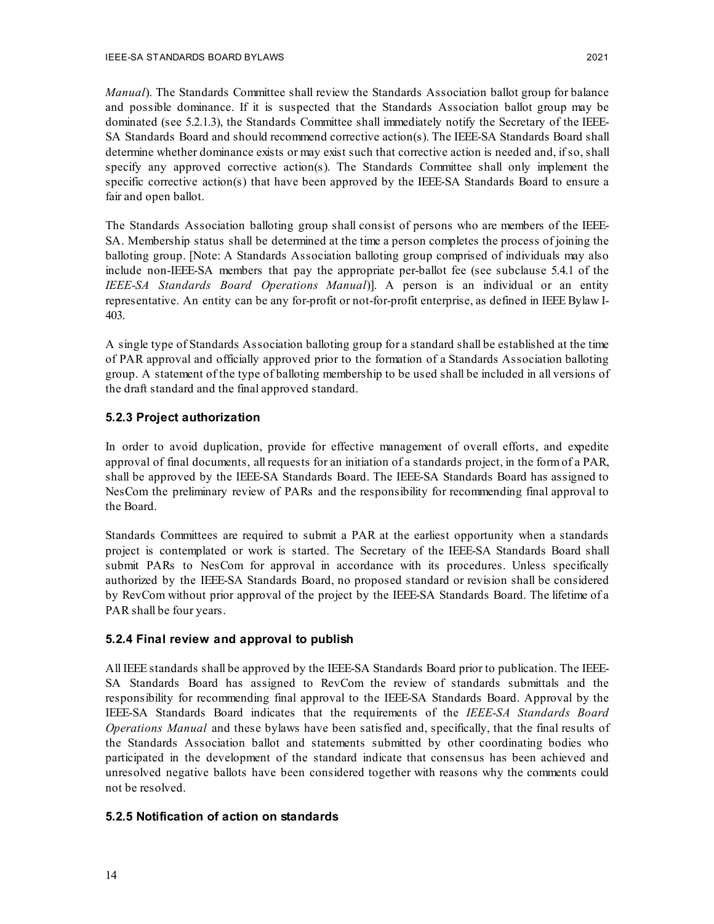*Manual*). The Standards Committee shall review the Standards Association ballot group for balance and possible dominance. If it is suspected that the Standards Association ballot group may be dominated (see 5.2.1.3), the Standards Committee shall immediately notify the Secretary of the IEEE-SA Standards Board and should recommend corrective action(s). The IEEE-SA Standards Board shall determine whether dominance exists or may exist such that corrective action is needed and, if so, shall specify any approved corrective action(s). The Standards Committee shall only implement the specific corrective action(s) that have been approved by the IEEE-SA Standards Board to ensure a fair and open ballot.

The Standards Association balloting group shall consist of persons who are members of the IEEE-SA. Membership status shall be determined at the time a person completes the process of joining the balloting group. [Note: A Standards Association balloting group comprised of individuals may also include non-IEEE-SA members that pay the appropriate per-ballot fee (see subclause 5.4.1 of the *IEEE-SA Standards Board Operations Manual*)]. A person is an individual or an entity representative. An entity can be any for-profit or not-for-profit enterprise, as defined in IEEE Bylaw I-403.

A single type of Standards Association balloting group for a standard shall be established at the time of PAR approval and officially approved prior to the formation of a Standards Association balloting group. A statement of the type of balloting membership to be used shall be included in all versions of the draft standard and the final approved standard.

# **5.2.3 Project authorization**

In order to avoid duplication, provide for effective management of overall efforts, and expedite approval of final documents, all requests for an initiation of a standards project, in the form of a PAR, shall be approved by the IEEE-SA Standards Board. The IEEE-SA Standards Board has assigned to NesCom the preliminary review of PARs and the responsibility for recommending final approval to the Board.

Standards Committees are required to submit a PAR at the earliest opportunity when a standards project is contemplated or work is started. The Secretary of the IEEE-SA Standards Board shall submit PARs to NesCom for approval in accordance with its procedures. Unless specifically authorized by the IEEE-SA Standards Board, no proposed standard or revision shall be considered by RevCom without prior approval of the project by the IEEE-SA Standards Board. The lifetime of a PAR shall be four years.

## **5.2.4 Final review and approval to publish**

All IEEE standards shall be approved by the IEEE-SA Standards Board prior to publication. The IEEE-SA Standards Board has assigned to RevCom the review of standards submittals and the responsibility for recommending final approval to the IEEE-SA Standards Board. Approval by the IEEE-SA Standards Board indicates that the requirements of the *IEEE-SA Standards Board Operations Manual* and these bylaws have been satisfied and, specifically, that the final results of the Standards Association ballot and statements submitted by other coordinating bodies who participated in the development of the standard indicate that consensus has been achieved and unresolved negative ballots have been considered together with reasons why the comments could not be resolved.

## **5.2.5 Notification of action on standards**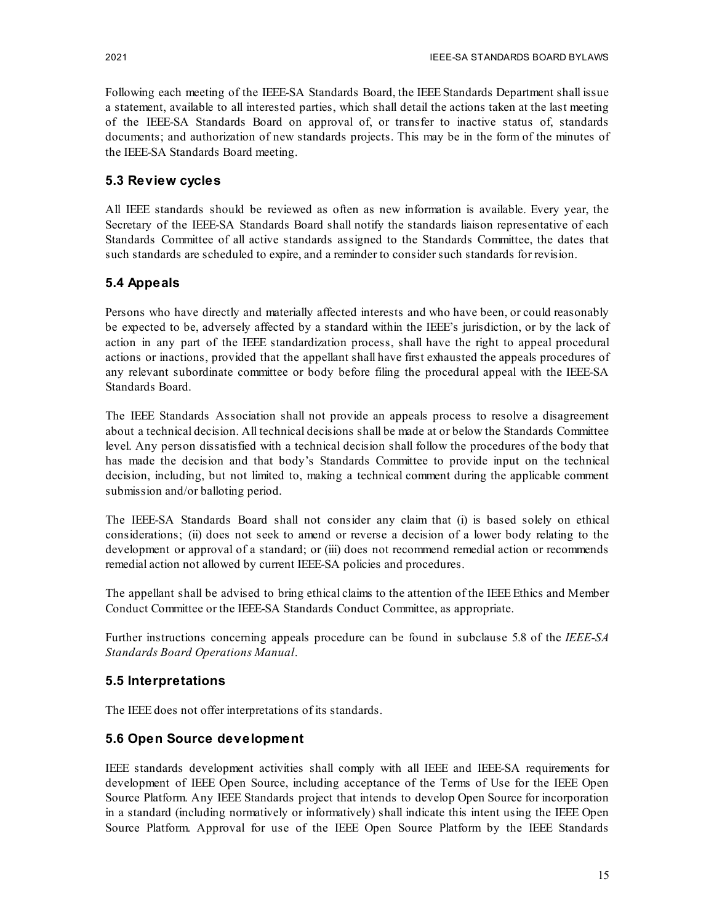Following each meeting of the IEEE-SA Standards Board, the IEEE Standards Department shall issue a statement, available to all interested parties, which shall detail the actions taken at the last meeting of the IEEE-SA Standards Board on approval of, or transfer to inactive status of, standards documents; and authorization of new standards projects. This may be in the form of the minutes of the IEEE-SA Standards Board meeting.

## <span id="page-16-0"></span>**5.3 Review cycles**

All IEEE standards should be reviewed as often as new information is available. Every year, the Secretary of the IEEE-SA Standards Board shall notify the standards liaison representative of each Standards Committee of all active standards assigned to the Standards Committee, the dates that such standards are scheduled to expire, and a reminder to consider such standards for revision.

## <span id="page-16-1"></span>**5.4 Appeals**

Persons who have directly and materially affected interests and who have been, or could reasonably be expected to be, adversely affected by a standard within the IEEE's jurisdiction, or by the lack of action in any part of the IEEE standardization process, shall have the right to appeal procedural actions or inactions, provided that the appellant shall have first exhausted the appeals procedures of any relevant subordinate committee or body before filing the procedural appeal with the IEEE-SA Standards Board.

The IEEE Standards Association shall not provide an appeals process to resolve a disagreement about a technical decision. All technical decisions shall be made at or below the Standards Committee level. Any person dissatisfied with a technical decision shall follow the procedures of the body that has made the decision and that body's Standards Committee to provide input on the technical decision, including, but not limited to, making a technical comment during the applicable comment submission and/or balloting period.

The IEEE-SA Standards Board shall not consider any claim that (i) is based solely on ethical considerations; (ii) does not seek to amend or reverse a decision of a lower body relating to the development or approval of a standard; or (iii) does not recommend remedial action or recommends remedial action not allowed by current IEEE-SA policies and procedures.

The appellant shall be advised to bring ethical claims to the attention of the IEEE Ethics and Member Conduct Committee or the IEEE-SA Standards Conduct Committee, as appropriate.

Further instructions concerning appeals procedure can be found in subclause 5.8 of the *IEEE-SA Standards Board Operations Manual*.

## <span id="page-16-2"></span>**5.5 Interpretations**

<span id="page-16-3"></span>The IEEE does not offer interpretations of its standards.

## **5.6 Open Source development**

IEEE standards development activities shall comply with all IEEE and IEEE-SA requirements for development of IEEE Open Source, including acceptance of the Terms of Use for the IEEE Open Source Platform. Any IEEE Standards project that intends to develop Open Source for incorporation in a standard (including normatively or informatively) shall indicate this intent using the IEEE Open Source Platform. Approval for use of the IEEE Open Source Platform by the IEEE Standards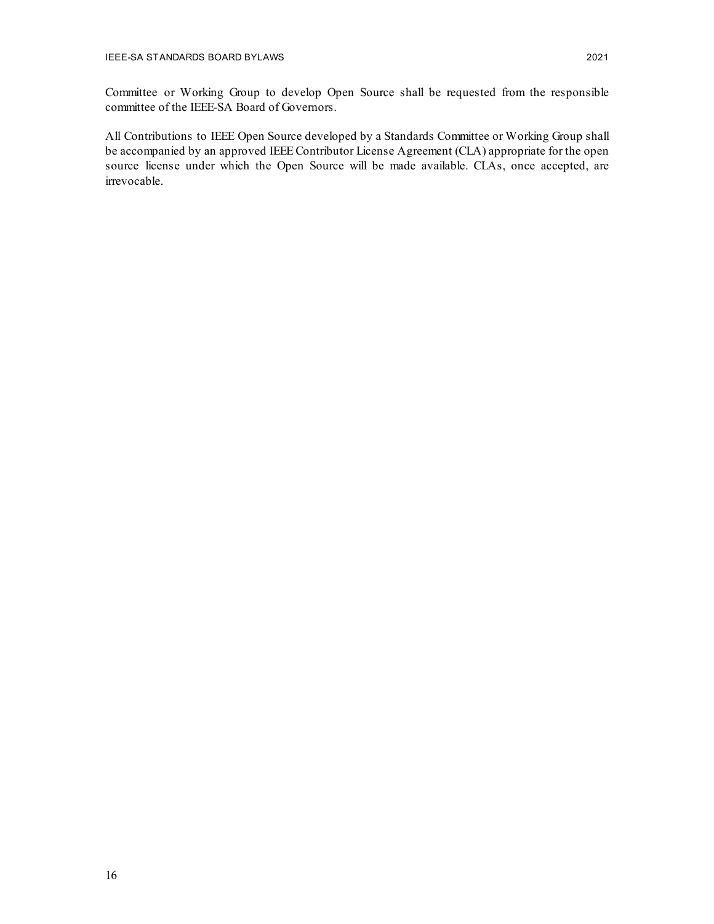Committee or Working Group to develop Open Source shall be requested from the responsible committee of the IEEE-SA Board of Governors.

All Contributions to IEEE Open Source developed by a Standards Committee or Working Group shall be accompanied by an approved IEEE Contributor License Agreement (CLA) appropriate for the open source license under which the Open Source will be made available. CLAs, once accepted, are irrevocable.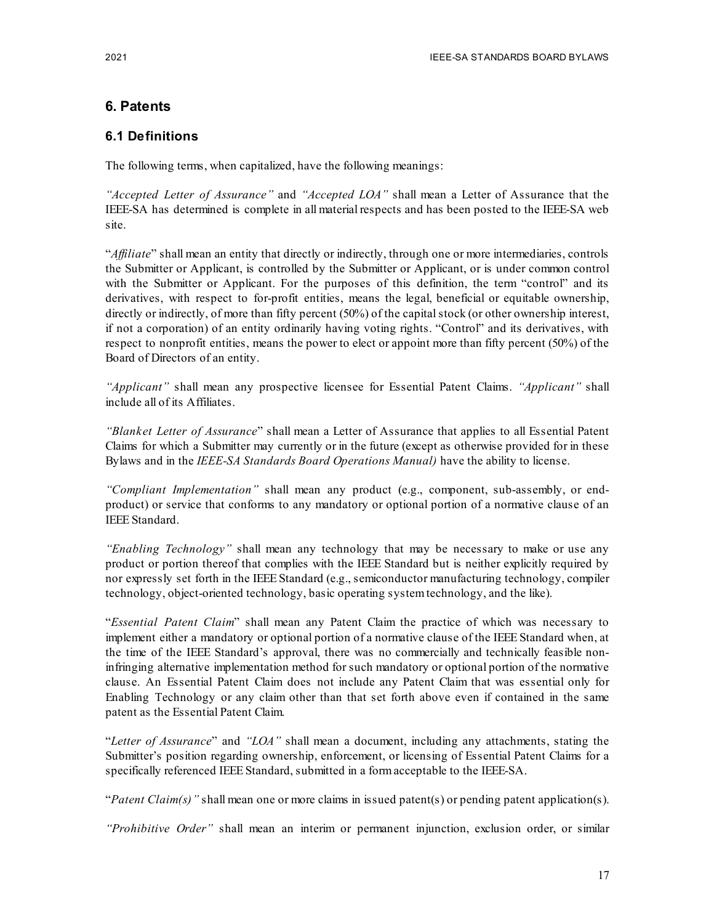# <span id="page-18-1"></span><span id="page-18-0"></span>**6. Patents**

## **6.1 Definitions**

The following terms, when capitalized, have the following meanings:

*"Accepted Letter of Assurance"* and *"Accepted LOA"* shall mean a Letter of Assurance that the IEEE-SA has determined is complete in all material respects and has been posted to the IEEE-SA web site.

"*Affiliate*" shall mean an entity that directly or indirectly, through one or more intermediaries, controls the Submitter or Applicant, is controlled by the Submitter or Applicant, or is under common control with the Submitter or Applicant. For the purposes of this definition, the term "control" and its derivatives, with respect to for-profit entities, means the legal, beneficial or equitable ownership, directly or indirectly, of more than fifty percent (50%) of the capital stock (or other ownership interest, if not a corporation) of an entity ordinarily having voting rights. "Control" and its derivatives, with respect to nonprofit entities, means the power to elect or appoint more than fifty percent (50%) of the Board of Directors of an entity.

*"Applicant"* shall mean any prospective licensee for Essential Patent Claims. *"Applicant"* shall include all of its Affiliates.

*"Blanket Letter of Assurance*" shall mean a Letter of Assurance that applies to all Essential Patent Claims for which a Submitter may currently or in the future (except as otherwise provided for in these Bylaws and in the *IEEE-SA Standards Board Operations Manual)* have the ability to license.

*"Compliant Implementation"* shall mean any product (e.g., component, sub-assembly, or endproduct) or service that conforms to any mandatory or optional portion of a normative clause of an IEEE Standard.

*"Enabling Technology"* shall mean any technology that may be necessary to make or use any product or portion thereof that complies with the IEEE Standard but is neither explicitly required by nor expressly set forth in the IEEE Standard (e.g., semiconductor manufacturing technology, compiler technology, object-oriented technology, basic operating system technology, and the like).

"*Essential Patent Claim*" shall mean any Patent Claim the practice of which was necessary to implement either a mandatory or optional portion of a normative clause of the IEEE Standard when, at the time of the IEEE Standard's approval, there was no commercially and technically feasible noninfringing alternative implementation method for such mandatory or optional portion of the normative clause. An Essential Patent Claim does not include any Patent Claim that was essential only for Enabling Technology or any claim other than that set forth above even if contained in the same patent as the Essential Patent Claim.

"*Letter of Assurance*" and *"LOA"* shall mean a document, including any attachments, stating the Submitter's position regarding ownership, enforcement, or licensing of Essential Patent Claims for a specifically referenced IEEE Standard, submitted in a form acceptable to the IEEE-SA.

"*Patent Claim(s)"* shall mean one or more claims in issued patent(s) or pending patent application(s).

*"Prohibitive Order"* shall mean an interim or permanent injunction, exclusion order, or similar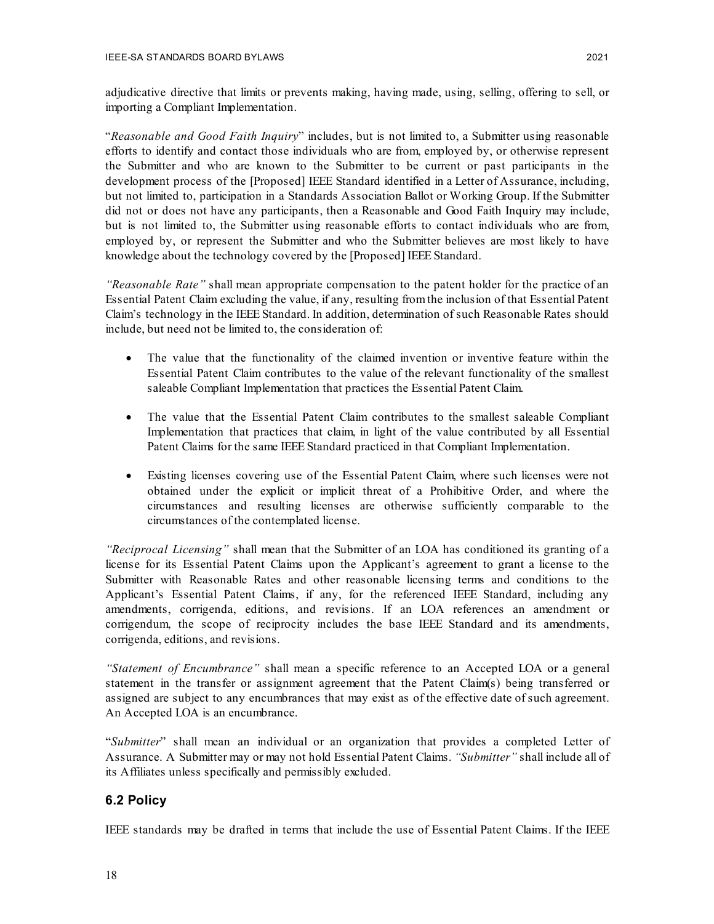adjudicative directive that limits or prevents making, having made, using, selling, offering to sell, or importing a Compliant Implementation.

"*Reasonable and Good Faith Inquiry*" includes, but is not limited to, a Submitter using reasonable efforts to identify and contact those individuals who are from, employed by, or otherwise represent the Submitter and who are known to the Submitter to be current or past participants in the development process of the [Proposed] IEEE Standard identified in a Letter of Assurance, including, but not limited to, participation in a Standards Association Ballot or Working Group. If the Submitter did not or does not have any participants, then a Reasonable and Good Faith Inquiry may include, but is not limited to, the Submitter using reasonable efforts to contact individuals who are from, employed by, or represent the Submitter and who the Submitter believes are most likely to have knowledge about the technology covered by the [Proposed] IEEE Standard.

*"Reasonable Rate"* shall mean appropriate compensation to the patent holder for the practice of an Essential Patent Claim excluding the value, if any, resulting from the inclusion of that Essential Patent Claim's technology in the IEEE Standard. In addition, determination of such Reasonable Rates should include, but need not be limited to, the consideration of:

- The value that the functionality of the claimed invention or inventive feature within the Essential Patent Claim contributes to the value of the relevant functionality of the smallest saleable Compliant Implementation that practices the Essential Patent Claim.
- The value that the Essential Patent Claim contributes to the smallest saleable Compliant Implementation that practices that claim, in light of the value contributed by all Essential Patent Claims for the same IEEE Standard practiced in that Compliant Implementation.
- Existing licenses covering use of the Essential Patent Claim, where such licenses were not obtained under the explicit or implicit threat of a Prohibitive Order, and where the circumstances and resulting licenses are otherwise sufficiently comparable to the circumstances of the contemplated license.

*"Reciprocal Licensing"* shall mean that the Submitter of an LOA has conditioned its granting of a license for its Essential Patent Claims upon the Applicant's agreement to grant a license to the Submitter with Reasonable Rates and other reasonable licensing terms and conditions to the Applicant's Essential Patent Claims, if any, for the referenced IEEE Standard, including any amendments, corrigenda, editions, and revisions. If an LOA references an amendment or corrigendum, the scope of reciprocity includes the base IEEE Standard and its amendments, corrigenda, editions, and revisions.

*"Statement of Encumbrance"* shall mean a specific reference to an Accepted LOA or a general statement in the transfer or assignment agreement that the Patent Claim(s) being transferred or assigned are subject to any encumbrances that may exist as of the effective date of such agreement. An Accepted LOA is an encumbrance.

"*Submitter*" shall mean an individual or an organization that provides a completed Letter of Assurance. A Submitter may or may not hold Essential Patent Claims. *"Submitter"* shall include all of its Affiliates unless specifically and permissibly excluded.

## <span id="page-19-0"></span>**6.2 Policy**

IEEE standards may be drafted in terms that include the use of Essential Patent Claims. If the IEEE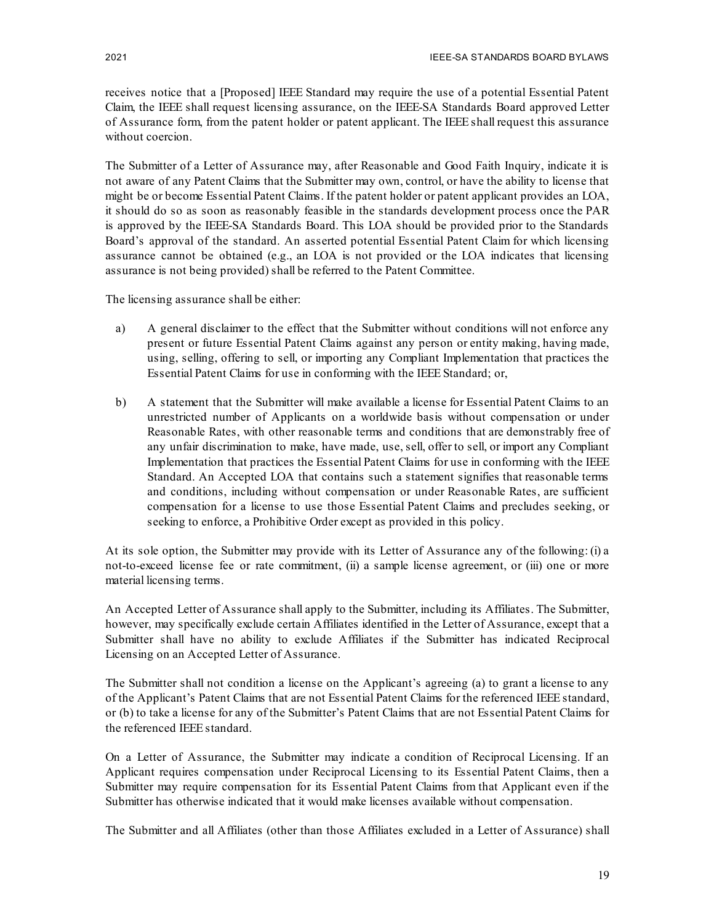receives notice that a [Proposed] IEEE Standard may require the use of a potential Essential Patent Claim, the IEEE shall request licensing assurance, on the IEEE-SA Standards Board approved Letter of Assurance form, from the patent holder or patent applicant. The IEEE shall request this assurance without coercion.

The Submitter of a Letter of Assurance may, after Reasonable and Good Faith Inquiry, indicate it is not aware of any Patent Claims that the Submitter may own, control, or have the ability to license that might be or become Essential Patent Claims. If the patent holder or patent applicant provides an LOA, it should do so as soon as reasonably feasible in the standards development process once the PAR is approved by the IEEE-SA Standards Board. This LOA should be provided prior to the Standards Board's approval of the standard. An asserted potential Essential Patent Claim for which licensing assurance cannot be obtained (e.g., an LOA is not provided or the LOA indicates that licensing assurance is not being provided) shall be referred to the Patent Committee.

The licensing assurance shall be either:

- a) A general disclaimer to the effect that the Submitter without conditions will not enforce any present or future Essential Patent Claims against any person or entity making, having made, using, selling, offering to sell, or importing any Compliant Implementation that practices the Essential Patent Claims for use in conforming with the IEEE Standard; or,
- b) A statement that the Submitter will make available a license for Essential Patent Claims to an unrestricted number of Applicants on a worldwide basis without compensation or under Reasonable Rates, with other reasonable terms and conditions that are demonstrably free of any unfair discrimination to make, have made, use, sell, offer to sell, or import any Compliant Implementation that practices the Essential Patent Claims for use in conforming with the IEEE Standard. An Accepted LOA that contains such a statement signifies that reasonable terms and conditions, including without compensation or under Reasonable Rates, are sufficient compensation for a license to use those Essential Patent Claims and precludes seeking, or seeking to enforce, a Prohibitive Order except as provided in this policy.

At its sole option, the Submitter may provide with its Letter of Assurance any of the following: (i) a not-to-exceed license fee or rate commitment, (ii) a sample license agreement, or (iii) one or more material licensing terms.

An Accepted Letter of Assurance shall apply to the Submitter, including its Affiliates. The Submitter, however, may specifically exclude certain Affiliates identified in the Letter of Assurance, except that a Submitter shall have no ability to exclude Affiliates if the Submitter has indicated Reciprocal Licensing on an Accepted Letter of Assurance.

The Submitter shall not condition a license on the Applicant's agreeing (a) to grant a license to any of the Applicant's Patent Claims that are not Essential Patent Claims for the referenced IEEE standard, or (b) to take a license for any of the Submitter's Patent Claims that are not Essential Patent Claims for the referenced IEEE standard.

On a Letter of Assurance, the Submitter may indicate a condition of Reciprocal Licensing. If an Applicant requires compensation under Reciprocal Licensing to its Essential Patent Claims, then a Submitter may require compensation for its Essential Patent Claims from that Applicant even if the Submitter has otherwise indicated that it would make licenses available without compensation.

The Submitter and all Affiliates (other than those Affiliates excluded in a Letter of Assurance) shall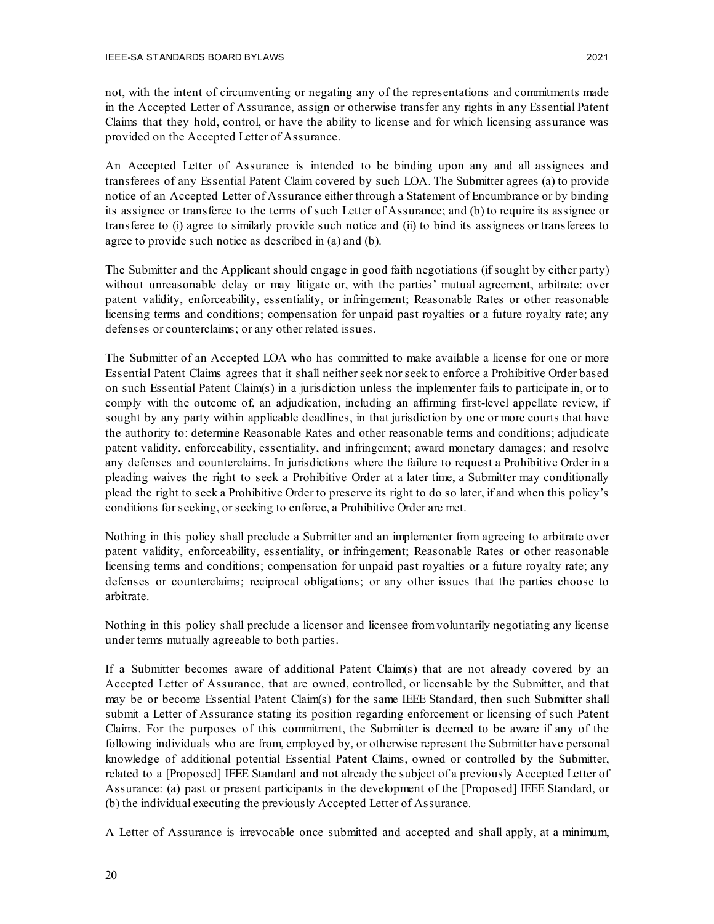not, with the intent of circumventing or negating any of the representations and commitments made in the Accepted Letter of Assurance, assign or otherwise transfer any rights in any Essential Patent Claims that they hold, control, or have the ability to license and for which licensing assurance was provided on the Accepted Letter of Assurance.

An Accepted Letter of Assurance is intended to be binding upon any and all assignees and transferees of any Essential Patent Claim covered by such LOA. The Submitter agrees (a) to provide notice of an Accepted Letter of Assurance either through a Statement of Encumbrance or by binding its assignee or transferee to the terms of such Letter of Assurance; and (b) to require its assignee or transferee to (i) agree to similarly provide such notice and (ii) to bind its assignees or transferees to agree to provide such notice as described in (a) and (b).

The Submitter and the Applicant should engage in good faith negotiations (if sought by either party) without unreasonable delay or may litigate or, with the parties' mutual agreement, arbitrate: over patent validity, enforceability, essentiality, or infringement; Reasonable Rates or other reasonable licensing terms and conditions; compensation for unpaid past royalties or a future royalty rate; any defenses or counterclaims; or any other related issues.

The Submitter of an Accepted LOA who has committed to make available a license for one or more Essential Patent Claims agrees that it shall neither seek nor seek to enforce a Prohibitive Order based on such Essential Patent Claim(s) in a jurisdiction unless the implementer fails to participate in, or to comply with the outcome of, an adjudication, including an affirming first-level appellate review, if sought by any party within applicable deadlines, in that jurisdiction by one or more courts that have the authority to: determine Reasonable Rates and other reasonable terms and conditions; adjudicate patent validity, enforceability, essentiality, and infringement; award monetary damages; and resolve any defenses and counterclaims. In jurisdictions where the failure to request a Prohibitive Order in a pleading waives the right to seek a Prohibitive Order at a later time, a Submitter may conditionally plead the right to seek a Prohibitive Order to preserve its right to do so later, if and when this policy's conditions for seeking, or seeking to enforce, a Prohibitive Order are met.

Nothing in this policy shall preclude a Submitter and an implementer from agreeing to arbitrate over patent validity, enforceability, essentiality, or infringement; Reasonable Rates or other reasonable licensing terms and conditions; compensation for unpaid past royalties or a future royalty rate; any defenses or counterclaims; reciprocal obligations; or any other issues that the parties choose to arbitrate.

Nothing in this policy shall preclude a licensor and licensee from voluntarily negotiating any license under terms mutually agreeable to both parties.

If a Submitter becomes aware of additional Patent Claim(s) that are not already covered by an Accepted Letter of Assurance, that are owned, controlled, or licensable by the Submitter, and that may be or become Essential Patent Claim(s) for the same IEEE Standard, then such Submitter shall submit a Letter of Assurance stating its position regarding enforcement or licensing of such Patent Claims. For the purposes of this commitment, the Submitter is deemed to be aware if any of the following individuals who are from, employed by, or otherwise represent the Submitter have personal knowledge of additional potential Essential Patent Claims, owned or controlled by the Submitter, related to a [Proposed] IEEE Standard and not already the subject of a previously Accepted Letter of Assurance: (a) past or present participants in the development of the [Proposed] IEEE Standard, or (b) the individual executing the previously Accepted Letter of Assurance.

A Letter of Assurance is irrevocable once submitted and accepted and shall apply, at a minimum,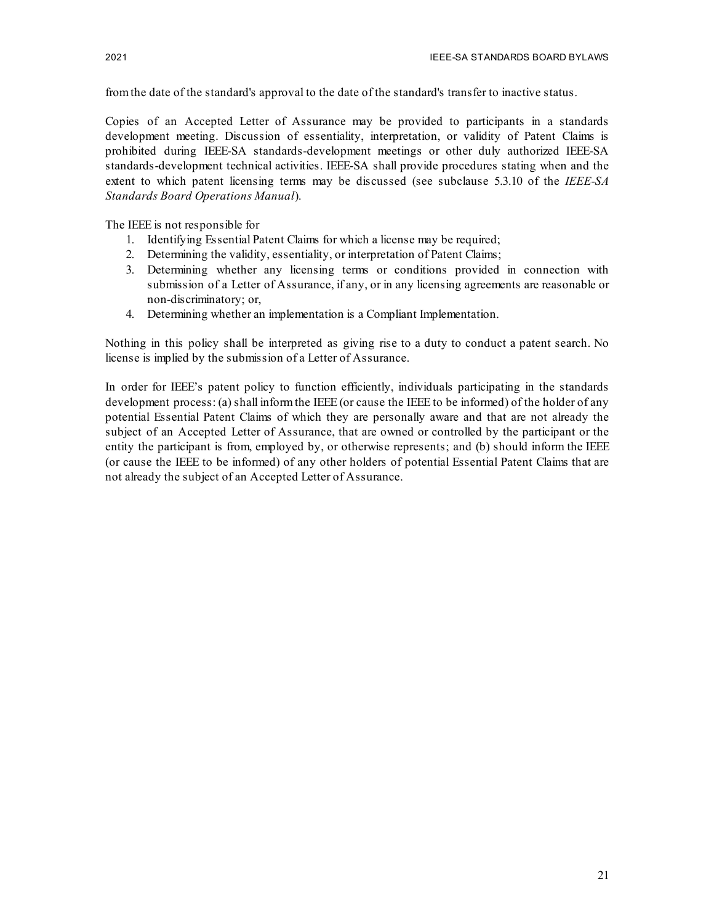from the date of the standard's approval to the date of the standard's transfer to inactive status.

Copies of an Accepted Letter of Assurance may be provided to participants in a standards development meeting. Discussion of essentiality, interpretation, or validity of Patent Claims is prohibited during IEEE-SA standards-development meetings or other duly authorized IEEE-SA standards-development technical activities. IEEE-SA shall provide procedures stating when and the extent to which patent licensing terms may be discussed (see subclause 5.3.10 of the *IEEE-SA Standards Board Operations Manual*).

The IEEE is not responsible for

- 1. Identifying Essential Patent Claims for which a license may be required;
- 2. Determining the validity, essentiality, or interpretation of Patent Claims;
- 3. Determining whether any licensing terms or conditions provided in connection with submission of a Letter of Assurance, if any, or in any licensing agreements are reasonable or non-discriminatory; or,
- 4. Determining whether an implementation is a Compliant Implementation.

Nothing in this policy shall be interpreted as giving rise to a duty to conduct a patent search. No license is implied by the submission of a Letter of Assurance.

In order for IEEE's patent policy to function efficiently, individuals participating in the standards development process: (a) shall inform the IEEE (or cause the IEEE to be informed) of the holder of any potential Essential Patent Claims of which they are personally aware and that are not already the subject of an Accepted Letter of Assurance, that are owned or controlled by the participant or the entity the participant is from, employed by, or otherwise represents; and (b) should inform the IEEE (or cause the IEEE to be informed) of any other holders of potential Essential Patent Claims that are not already the subject of an Accepted Letter of Assurance.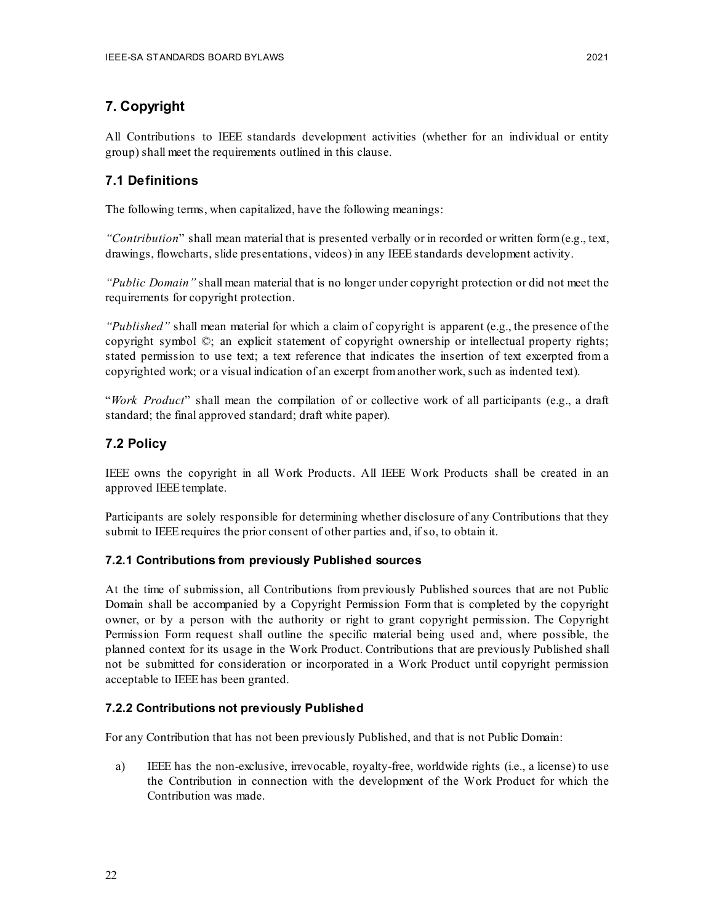# <span id="page-23-0"></span>**7. Copyright**

All Contributions to IEEE standards development activities (whether for an individual or entity group) shall meet the requirements outlined in this clause.

# <span id="page-23-1"></span>**7.1 Definitions**

The following terms, when capitalized, have the following meanings:

*"Contribution*" shall mean material that is presented verbally or in recorded or written form (e.g., text, drawings, flowcharts, slide presentations, videos) in any IEEE standards development activity.

*"Public Domain"* shall mean material that is no longer under copyright protection or did not meet the requirements for copyright protection.

*"Published"* shall mean material for which a claim of copyright is apparent (e.g., the presence of the copyright symbol ©; an explicit statement of copyright ownership or intellectual property rights; stated permission to use text; a text reference that indicates the insertion of text excerpted from a copyrighted work; or a visual indication of an excerpt from another work, such as indented text).

"*Work Product*" shall mean the compilation of or collective work of all participants (e.g., a draft standard; the final approved standard; draft white paper).

## <span id="page-23-2"></span>**7.2 Policy**

IEEE owns the copyright in all Work Products. All IEEE Work Products shall be created in an approved IEEE template.

Participants are solely responsible for determining whether disclosure of any Contributions that they submit to IEEE requires the prior consent of other parties and, if so, to obtain it.

## **7.2.1 Contributions from previously Published sources**

At the time of submission, all Contributions from previously Published sources that are not Public Domain shall be accompanied by a Copyright Permission Form that is completed by the copyright owner, or by a person with the authority or right to grant copyright permission. The Copyright Permission Form request shall outline the specific material being used and, where possible, the planned context for its usage in the Work Product. Contributions that are previously Published shall not be submitted for consideration or incorporated in a Work Product until copyright permission acceptable to IEEE has been granted.

## **7.2.2 Contributions not previously Published**

For any Contribution that has not been previously Published, and that is not Public Domain:

a) IEEE has the non-exclusive, irrevocable, royalty-free, worldwide rights (i.e., a license) to use the Contribution in connection with the development of the Work Product for which the Contribution was made.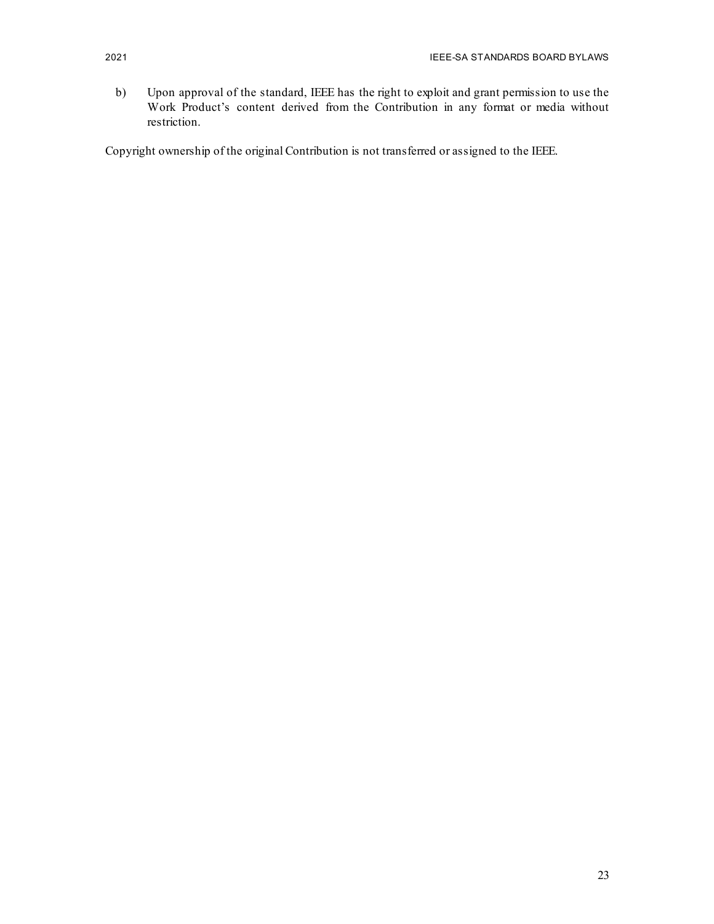b) Upon approval of the standard, IEEE has the right to exploit and grant permission to use the Work Product's content derived from the Contribution in any format or media without restriction.

Copyright ownership of the original Contribution is not transferred or assigned to the IEEE.